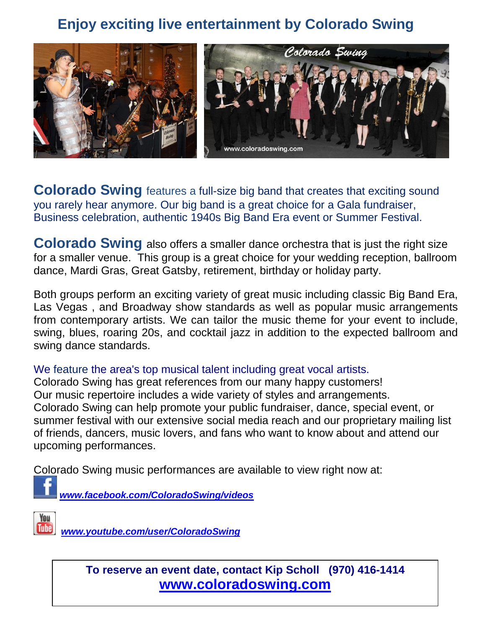## **Enjoy exciting live entertainment by Colorado Swing**



**Colorado Swing** features a full-size big band that creates that exciting sound you rarely hear anymore. Our big band is a great choice for a Gala fundraiser, Business celebration, authentic 1940s Big Band Era event or Summer Festival.

**Colorado Swing** also offers a smaller dance orchestra that is just the right size for a smaller venue. This group is a great choice for your wedding reception, ballroom dance, Mardi Gras, Great Gatsby, retirement, birthday or holiday party.

Both groups perform an exciting variety of great music including classic Big Band Era, Las Vegas , and Broadway show standards as well as popular music arrangements from contemporary artists. We can tailor the music theme for your event to include, swing, blues, roaring 20s, and cocktail jazz in addition to the expected ballroom and swing dance standards.

We feature the area's top musical talent including great vocal artists.

Colorado Swing has great references from our many happy customers! Our music repertoire includes a wide variety of styles and arrangements. Colorado Swing can help promote your public fundraiser, dance, special event, or summer festival with our extensive social media reach and our proprietary mailing list of friends, dancers, music lovers, and fans who want to know about and attend our upcoming performances.

Colorado Swing music performances are available to view right now at:

*[www.facebook.com/ColoradoSwing/videos](http://www.facebook.com/ColoradoSwing/videos)*

You **Tube** 

*[www.youtube.com/user/ColoradoSwing](http://www.youtube.com/user/ColoradoSwing)*

**To reserve an event date, contact Kip Scholl (970) 416-1414 [www.coloradoswing.com](http://www.coloradoswing.com/)**